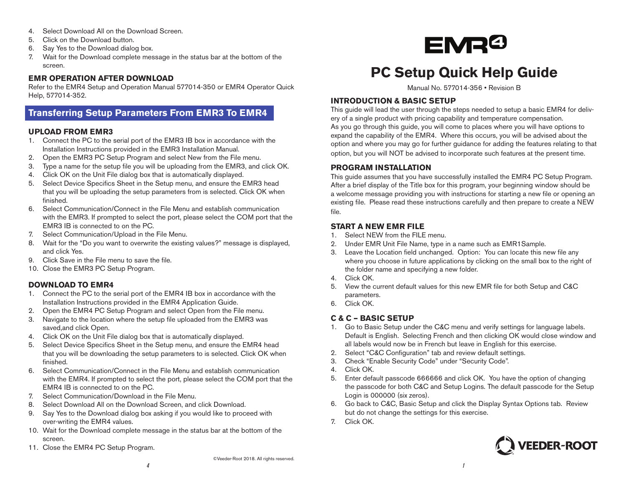- 4. Select Download All on the Download Screen.
- 5. Click on the Download button.
- 6. Say Yes to the Download dialog box.
- 7. Wait for the Download complete message in the status bar at the bottom of the screen.

#### **EMR OPERATION AFTER DOWNLOAD**

Refer to the EMR4 Setup and Operation Manual 577014-350 or EMR4 Operator Quick Help, 577014-352.

# **Transferring Setup Parameters From EMR3 To EMR4**

#### **UPLOAD FROM EMR3**

- 1. Connect the PC to the serial port of the EMR3 IB box in accordance with the Installation Instructions provided in the EMR3 Installation Manual.
- 2. Open the EMR3 PC Setup Program and select New from the File menu.
- 3. Type a name for the setup file you will be uploading from the EMR3, and click OK.
- 4. Click OK on the Unit File dialog box that is automatically displayed.
- 5. Select Device Specifics Sheet in the Setup menu, and ensure the EMR3 head that you will be uploading the setup parameters from is selected. Click OK when finished.
- 6. Select Communication/Connect in the File Menu and establish communication with the EMR3. If prompted to select the port, please select the COM port that the EMR3 IB is connected to on the PC.
- 7. Select Communication/Upload in the File Menu.
- 8. Wait for the "Do you want to overwrite the existing values?" message is displayed, and click Yes.
- 9. Click Save in the File menu to save the file.
- 10. Close the EMR3 PC Setup Program.

## **DOWNLOAD TO EMR4**

- 1. Connect the PC to the serial port of the EMR4 IB box in accordance with the Installation Instructions provided in the EMR4 Application Guide.
- 2. Open the EMR4 PC Setup Program and select Open from the File menu.
- 3. Navigate to the location where the setup file uploaded from the EMR3 was saved,and click Open.
- 4. Click OK on the Unit File dialog box that is automatically displayed.
- 5. Select Device Specifics Sheet in the Setup menu, and ensure the EMR4 head that you will be downloading the setup parameters to is selected. Click OK when finished.
- 6. Select Communication/Connect in the File Menu and establish communication with the EMR4. If prompted to select the port, please select the COM port that the EMR4 IB is connected to on the PC.
- 7. Select Communication/Download in the File Menu.
- 8. Select Download All on the Download Screen, and click Download.
- 9. Say Yes to the Download dialog box asking if you would like to proceed with over-writing the EMR4 values.
- 10. Wait for the Download complete message in the status bar at the bottom of the screen.
- 11. Close the EMR4 PC Setup Program.



# **PC Setup Quick Help Guide**

Manual No. 577014-356 • Revision B

## **INTRODUCTION & BASIC SETUP**

This guide will lead the user through the steps needed to setup a basic EMR4 for delivery of a single product with pricing capability and temperature compensation. As you go through this guide, you will come to places where you will have options to expand the capability of the EMR4. Where this occurs, you will be advised about the option and where you may go for further guidance for adding the features relating to that option, but you will NOT be advised to incorporate such features at the present time.

#### **PROGRAM INSTALLATION**

This guide assumes that you have successfully installed the EMR4 PC Setup Program. After a brief display of the Title box for this program, your beginning window should be a welcome message providing you with instructions for starting a new file or opening an existing file. Please read these instructions carefully and then prepare to create a NEW file.

## **START A NEW EMR FILE**

- 1. Select NEW from the FILE menu.
- 2. Under EMR Unit File Name, type in a name such as EMR1Sample.
- 3. Leave the Location field unchanged. Option: You can locate this new file any where you choose in future applications by clicking on the small box to the right of the folder name and specifying a new folder.
- 4. Click OK.
- 5. View the current default values for this new EMR file for both Setup and C&C parameters.
- 6. Click OK.

## **C & C – BASIC SETUP**

- 1. Go to Basic Setup under the C&C menu and verify settings for language labels. Default is English. Selecting French and then clicking OK would close window and all labels would now be in French but leave in English for this exercise.
- 2. Select "C&C Configuration" tab and review default settings.
- 3. Check "Enable Security Code" under "Security Code".
- 4. Click OK.
- 5. Enter default passcode 666666 and click OK. You have the option of changing the passcode for both C&C and Setup Logins. The default passcode for the Setup Login is 000000 (six zeros).
- 6. Go back to C&C, Basic Setup and click the Display Syntax Options tab. Review but do not change the settings for this exercise.
- 7. Click OK.